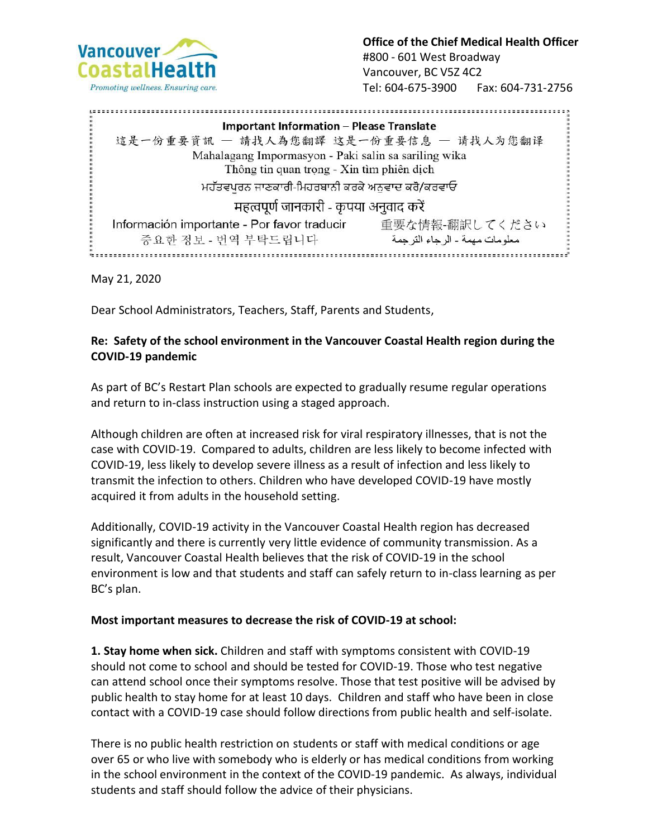

**Office of the Chief Medical Health Officer** #800 - 601 West Broadway Vancouver, BC V5Z 4C2 Tel: 604-675-3900 Fax: 604-731-2756

**Important Information - Please Translate** 這是一份重要資訊 - 請找人為您翻譯 这是一份重要信息 - 请找人为您翻译 Mahalagang Impormasyon - Paki salin sa sariling wika Thông tin quan trọng - Xin tìm phiên dịch ਮਹੱਤਵਪਰਨ ਜਾਣਕਾਰੀ-ਮਿਹਰਬਾਨੀ ਕਰਕੇ ਅਨਵਾਦ ਕਰੋ/ਕਰਵਾਓ महत्वपूर्ण जानकारी - कृपया अनुवाद करें Información importante - Por favor traducir 重要な情報-翻訳してください 중요한 정보 - 번역 부탁드립니다 معلومات مهمة ـ الرجاء الترجمة 

May 21, 2020

Dear School Administrators, Teachers, Staff, Parents and Students,

## **Re: Safety of the school environment in the Vancouver Coastal Health region during the COVID-19 pandemic**

As part of BC's Restart Plan schools are expected to gradually resume regular operations and return to in-class instruction using a staged approach.

Although children are often at increased risk for viral respiratory illnesses, that is not the case with COVID-19. Compared to adults, children are less likely to become infected with COVID-19, less likely to develop severe illness as a result of infection and less likely to transmit the infection to others. Children who have developed COVID-19 have mostly acquired it from adults in the household setting.

Additionally, COVID-19 activity in the Vancouver Coastal Health region has decreased significantly and there is currently very little evidence of community transmission. As a result, Vancouver Coastal Health believes that the risk of COVID-19 in the school environment is low and that students and staff can safely return to in-class learning as per BC's plan.

## **Most important measures to decrease the risk of COVID-19 at school:**

**1. Stay home when sick.** Children and staff with symptoms consistent with COVID-19 should not come to school and should be tested for COVID-19. Those who test negative can attend school once their symptoms resolve. Those that test positive will be advised by public health to stay home for at least 10 days. Children and staff who have been in close contact with a COVID-19 case should follow directions from public health and self-isolate.

There is no public health restriction on students or staff with medical conditions or age over 65 or who live with somebody who is elderly or has medical conditions from working in the school environment in the context of the COVID-19 pandemic. As always, individual students and staff should follow the advice of their physicians.